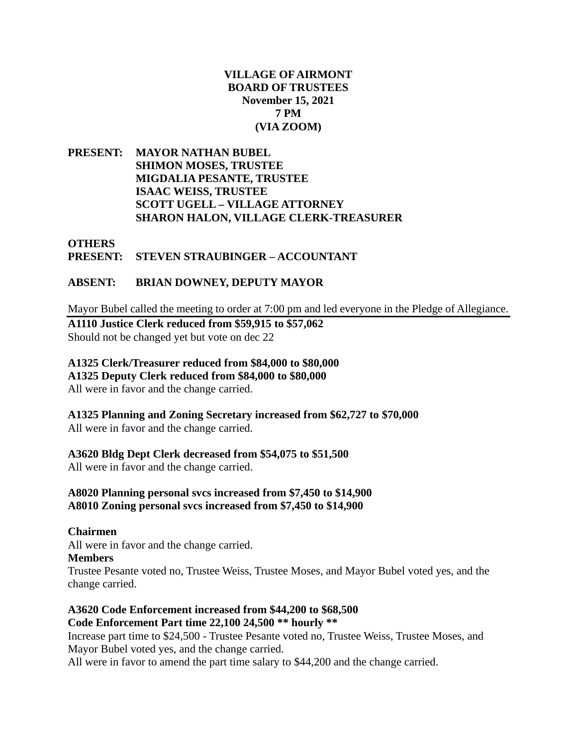## **VILLAGE OF AIRMONT BOARD OF TRUSTEES November 15, 2021 7 PM (VIA ZOOM)**

**PRESENT: MAYOR NATHAN BUBEL SHIMON MOSES, TRUSTEE MIGDALIA PESANTE, TRUSTEE ISAAC WEISS, TRUSTEE SCOTT UGELL – VILLAGE ATTORNEY SHARON HALON, VILLAGE CLERK-TREASURER**

## **OTHERS PRESENT: STEVEN STRAUBINGER – ACCOUNTANT**

## **ABSENT: BRIAN DOWNEY, DEPUTY MAYOR**

Mayor Bubel called the meeting to order at 7:00 pm and led everyone in the Pledge of Allegiance.

**A1110 Justice Clerk reduced from \$59,915 to \$57,062**  Should not be changed yet but vote on dec 22

### **A1325 Clerk/Treasurer reduced from \$84,000 to \$80,000 A1325 Deputy Clerk reduced from \$84,000 to \$80,000**

All were in favor and the change carried.

**A1325 Planning and Zoning Secretary increased from \$62,727 to \$70,000** All were in favor and the change carried.

# **A3620 Bldg Dept Clerk decreased from \$54,075 to \$51,500**

All were in favor and the change carried.

## **A8020 Planning personal svcs increased from \$7,450 to \$14,900 A8010 Zoning personal svcs increased from \$7,450 to \$14,900**

**Chairmen** All were in favor and the change carried. **Members** Trustee Pesante voted no, Trustee Weiss, Trustee Moses, and Mayor Bubel voted yes, and the change carried.

## **A3620 Code Enforcement increased from \$44,200 to \$68,500 Code Enforcement Part time 22,100 24,500 \*\* hourly \*\***

Increase part time to \$24,500 - Trustee Pesante voted no, Trustee Weiss, Trustee Moses, and Mayor Bubel voted yes, and the change carried.

All were in favor to amend the part time salary to \$44,200 and the change carried.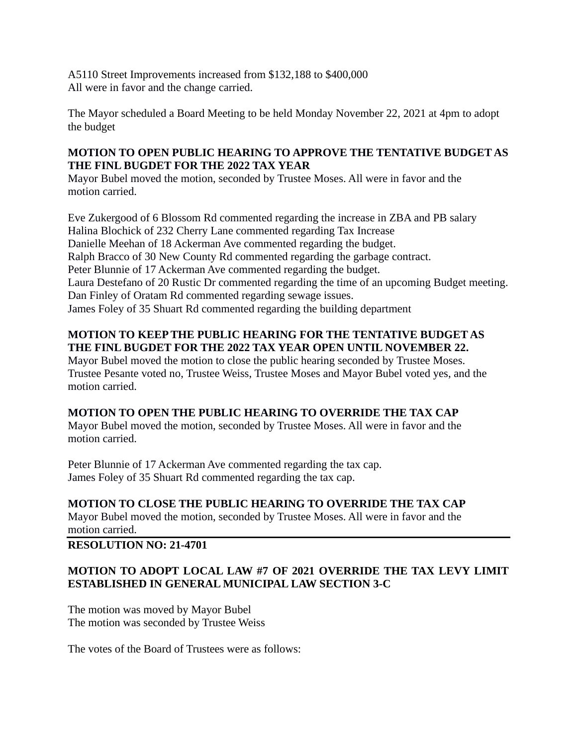A5110 Street Improvements increased from \$132,188 to \$400,000 All were in favor and the change carried.

The Mayor scheduled a Board Meeting to be held Monday November 22, 2021 at 4pm to adopt the budget

## **MOTION TO OPEN PUBLIC HEARING TO APPROVE THE TENTATIVE BUDGET AS THE FINL BUGDET FOR THE 2022 TAX YEAR**

Mayor Bubel moved the motion, seconded by Trustee Moses. All were in favor and the motion carried.

Eve Zukergood of 6 Blossom Rd commented regarding the increase in ZBA and PB salary Halina Blochick of 232 Cherry Lane commented regarding Tax Increase Danielle Meehan of 18 Ackerman Ave commented regarding the budget. Ralph Bracco of 30 New County Rd commented regarding the garbage contract. Peter Blunnie of 17 Ackerman Ave commented regarding the budget. Laura Destefano of 20 Rustic Dr commented regarding the time of an upcoming Budget meeting. Dan Finley of Oratam Rd commented regarding sewage issues. James Foley of 35 Shuart Rd commented regarding the building department

# **MOTION TO KEEP THE PUBLIC HEARING FOR THE TENTATIVE BUDGET AS THE FINL BUGDET FOR THE 2022 TAX YEAR OPEN UNTIL NOVEMBER 22.**

Mayor Bubel moved the motion to close the public hearing seconded by Trustee Moses. Trustee Pesante voted no, Trustee Weiss, Trustee Moses and Mayor Bubel voted yes, and the motion carried.

# **MOTION TO OPEN THE PUBLIC HEARING TO OVERRIDE THE TAX CAP**

Mayor Bubel moved the motion, seconded by Trustee Moses. All were in favor and the motion carried.

Peter Blunnie of 17 Ackerman Ave commented regarding the tax cap. James Foley of 35 Shuart Rd commented regarding the tax cap.

## **MOTION TO CLOSE THE PUBLIC HEARING TO OVERRIDE THE TAX CAP**

Mayor Bubel moved the motion, seconded by Trustee Moses. All were in favor and the motion carried.

# **RESOLUTION NO: 21-4701**

# **MOTION TO ADOPT LOCAL LAW #7 OF 2021 OVERRIDE THE TAX LEVY LIMIT ESTABLISHED IN GENERAL MUNICIPAL LAW SECTION 3-C**

The motion was moved by Mayor Bubel The motion was seconded by Trustee Weiss

The votes of the Board of Trustees were as follows: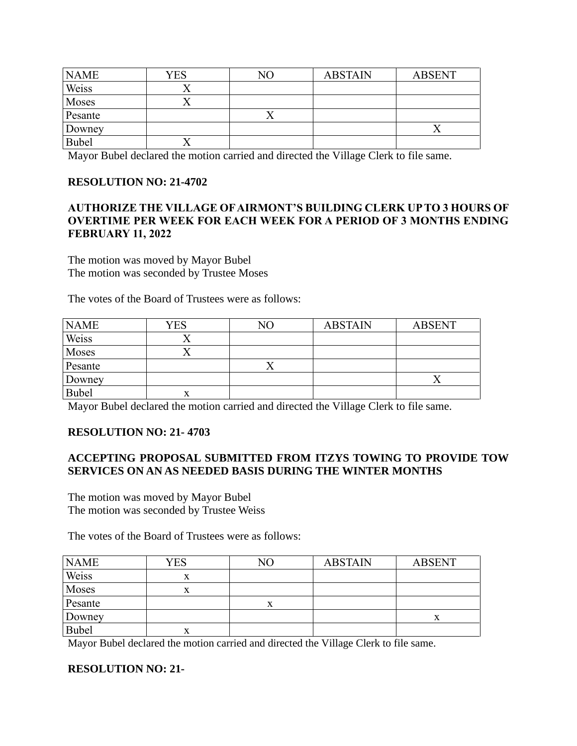| <b>NAME</b> | <b>YES</b> | NΟ | <b>ABSTAIN</b> | <b>ABSENT</b> |
|-------------|------------|----|----------------|---------------|
| Weiss       |            |    |                |               |
| Moses       |            |    |                |               |
| Pesante     |            |    |                |               |
| Downey      |            |    |                |               |
| Bubel       |            |    |                |               |

Mayor Bubel declared the motion carried and directed the Village Clerk to file same.

### **RESOLUTION NO: 21-4702**

### **AUTHORIZE THE VILLAGE OF AIRMONT'S BUILDING CLERK UP TO 3 HOURS OF OVERTIME PER WEEK FOR EACH WEEK FOR A PERIOD OF 3 MONTHS ENDING FEBRUARY 11, 2022**

The motion was moved by Mayor Bubel The motion was seconded by Trustee Moses

The votes of the Board of Trustees were as follows:

| <b>NAME</b>  | YES | NΟ | <b>ABSTAIN</b> | <b>ABSENT</b> |
|--------------|-----|----|----------------|---------------|
| Weiss        |     |    |                |               |
| Moses        |     |    |                |               |
| Pesante      |     |    |                |               |
| Downey       |     |    |                |               |
| <b>Bubel</b> | л   |    |                |               |

Mayor Bubel declared the motion carried and directed the Village Clerk to file same.

### **RESOLUTION NO: 21- 4703**

### **ACCEPTING PROPOSAL SUBMITTED FROM ITZYS TOWING TO PROVIDE TOW SERVICES ON AN AS NEEDED BASIS DURING THE WINTER MONTHS**

The motion was moved by Mayor Bubel The motion was seconded by Trustee Weiss

The votes of the Board of Trustees were as follows:

| <b>NAME</b>  | YES | NΟ | <b>ABSTAIN</b> | <b>ABSENT</b> |
|--------------|-----|----|----------------|---------------|
| Weiss        | л   |    |                |               |
| Moses        |     |    |                |               |
| Pesante      |     |    |                |               |
| Downey       |     |    |                | $\Lambda$     |
| <b>Bubel</b> | л   |    |                |               |

Mayor Bubel declared the motion carried and directed the Village Clerk to file same.

#### **RESOLUTION NO: 21-**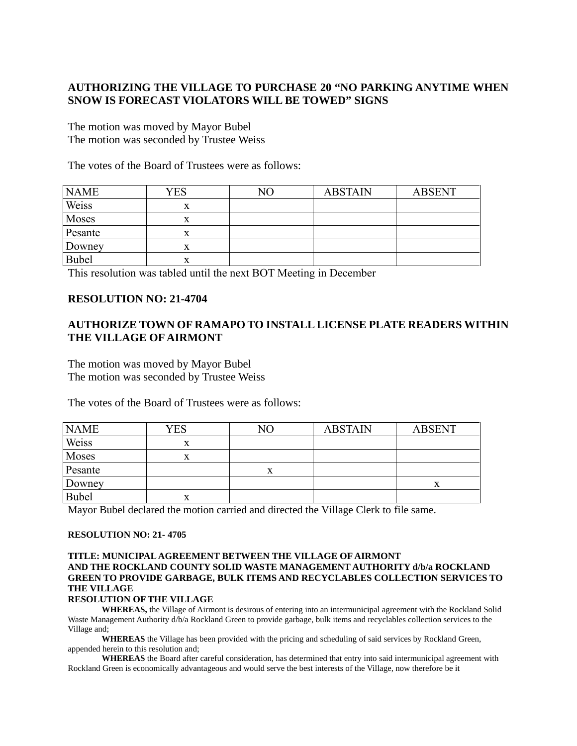# **AUTHORIZING THE VILLAGE TO PURCHASE 20 "NO PARKING ANYTIME WHEN SNOW IS FORECAST VIOLATORS WILL BE TOWED" SIGNS**

The motion was moved by Mayor Bubel The motion was seconded by Trustee Weiss

The votes of the Board of Trustees were as follows:

| <b>NAME</b>  | YES | NΟ | <b>ABSTAIN</b> | <b>ABSENT</b> |
|--------------|-----|----|----------------|---------------|
| Weiss        |     |    |                |               |
| Moses        | х   |    |                |               |
| Pesante      |     |    |                |               |
| Downey       |     |    |                |               |
| <b>Bubel</b> | х   |    |                |               |

This resolution was tabled until the next BOT Meeting in December

#### **RESOLUTION NO: 21-4704**

### **AUTHORIZE TOWN OF RAMAPO TO INSTALL LICENSE PLATE READERS WITHIN THE VILLAGE OF AIRMONT**

The motion was moved by Mayor Bubel The motion was seconded by Trustee Weiss

The votes of the Board of Trustees were as follows:

| <b>NAME</b> | YES | NO | <b>ABSTAIN</b> | <b>ABSENT</b> |
|-------------|-----|----|----------------|---------------|
| Weiss       | л   |    |                |               |
| Moses       | x   |    |                |               |
| Pesante     |     |    |                |               |
| Downey      |     |    |                |               |
| Bubel       | л   |    |                |               |

Mayor Bubel declared the motion carried and directed the Village Clerk to file same.

#### **RESOLUTION NO: 21- 4705**

#### **TITLE: MUNICIPAL AGREEMENT BETWEEN THE VILLAGE OF AIRMONT AND THE ROCKLAND COUNTY SOLID WASTE MANAGEMENT AUTHORITY d/b/a ROCKLAND GREEN TO PROVIDE GARBAGE, BULK ITEMS AND RECYCLABLES COLLECTION SERVICES TO THE VILLAGE**

#### **RESOLUTION OF THE VILLAGE**

**WHEREAS,** the Village of Airmont is desirous of entering into an intermunicipal agreement with the Rockland Solid Waste Management Authority d/b/a Rockland Green to provide garbage, bulk items and recyclables collection services to the Village and;

**WHEREAS** the Village has been provided with the pricing and scheduling of said services by Rockland Green, appended herein to this resolution and;

**WHEREAS** the Board after careful consideration, has determined that entry into said intermunicipal agreement with Rockland Green is economically advantageous and would serve the best interests of the Village, now therefore be it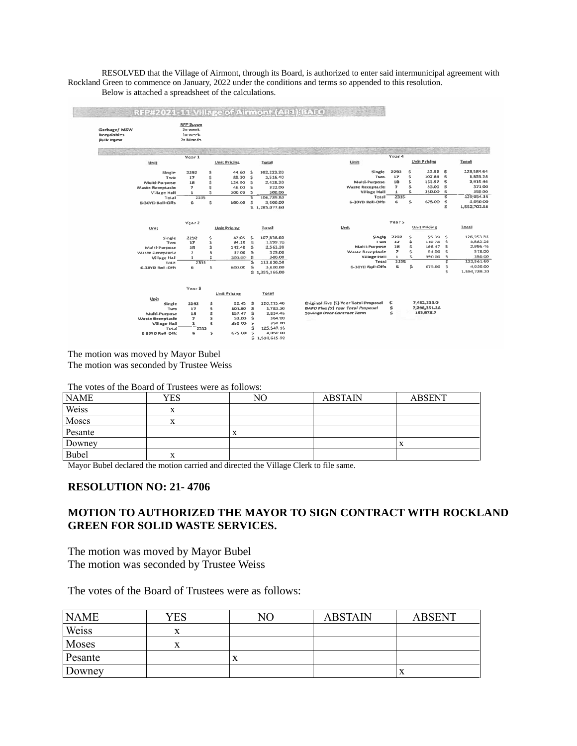RESOLVED that the Village of Airmont, through its Board, is authorized to enter said intermunicipal agreement with Rockland Green to commence on January, 2022 under the conditions and terms so appended to this resolution. Below is attached a spreadsheet of the calculations.

| Garbage/ MSW<br><b>Recyclables</b><br><b>Bulk Items</b> |                         | <b>RFP Scope</b><br>2x week<br>1s week<br>2x Month |     |                     |                    |                       |                                          |                          |    |                     |                          |                 |
|---------------------------------------------------------|-------------------------|----------------------------------------------------|-----|---------------------|--------------------|-----------------------|------------------------------------------|--------------------------|----|---------------------|--------------------------|-----------------|
|                                                         |                         | Year 1                                             |     |                     |                    |                       |                                          | Year 4                   |    |                     |                          |                 |
|                                                         | Unit                    |                                                    |     | <b>Unit Priding</b> |                    | Total                 | Unit                                     |                          |    | Unit Pricing        |                          | Total           |
|                                                         | Single                  | 2292                                               | s   | 44.60               | s                  | 102,223.20            | Single                                   | 2292                     | s  | 53.92               | <b>S</b>                 | 123,584.64      |
|                                                         | Two                     | 17                                                 | \$. | 89.20               | \$                 | 1,516.40              | Two                                      | 17                       | s  | 107.84              | s.                       | 1,833.28        |
|                                                         | Multi-Purpose           | 18                                                 | \$. | 134.90              | $\leq$             | 2.428.20              | Multi-Purpose                            | 18                       | Ś  | 151.97 \$           |                          | 2.915.46        |
|                                                         | Waste Receptacle        | $\overline{\phantom{a}}$                           | s   | 46.00               | <sub>S</sub>       | 322.00                | Waste Receptacle                         | $\overline{\phantom{a}}$ | \$ | 53.00               | $\mathbf{s}$             | 371.00          |
|                                                         | <b>Village Hall</b>     | $\mathbf{1}$                                       | s   | 300.00              | $\sqrt{2}$         | 300.00                | <b>Village Hall</b>                      | ${\bf 1}$                | s  | 350.00              | $\overline{\phantom{a}}$ | 350.00          |
|                                                         | Total                   | 2335                                               |     |                     | ड                  | 106,789.80            | Total                                    | 2335                     |    |                     | ड                        | 129 054.38      |
|                                                         | 6-30YD Rall-Offs        | 6                                                  | s   | 600.00              | $\leq$             | 3.600.00              | 6-30YD Roll-Offs                         | 6                        | Ś. | 675.00              | s                        | 4.050.00        |
|                                                         |                         |                                                    |     |                     |                    | \$1,285,077.60        |                                          |                          |    |                     | s                        | 1,552,702.56    |
|                                                         |                         | Year 2                                             |     |                     |                    |                       |                                          | Year 5                   |    |                     |                          |                 |
|                                                         | Unit                    |                                                    |     | <b>Unit Pricing</b> |                    | Total                 | Unit                                     |                          |    | <b>Unit Pricing</b> |                          | Total           |
|                                                         | Single                  | 2292                                               | s   | 47.05               | s                  | 107,838.60            | Single                                   | 2292                     | s  | 55.39               | s                        | 126,953.88      |
|                                                         | Two                     | 37                                                 | s   | 94.10               | $\sim$             | 1,599.70              | Two                                      | 17                       | \$ | 110.78 \$           |                          | <b>1,883.26</b> |
|                                                         | Multi-Purpose           | 18                                                 | Ŝ.  | 142.40              | s                  | 2,563.20              | Multi-Purpose                            | 18                       | s  | 166.47              | $\mathfrak{s}$           | 2,996.46        |
|                                                         | Waste Receptacle        | $\mathcal{I}$                                      | Š   | 47.00               | - S                | 329.00                | <b>Waste Receptacle</b>                  | $\overline{ }$           | s  | 54.00               | $\leq$                   | 378.00          |
|                                                         | Village Hall            | $\mathbf{1}$                                       | s   | 300.00 \$           |                    | 300.00                | <b>Village Hall</b>                      | $\mathbf{1}$             | Ś  | 350.00              | -5                       | 350.00          |
|                                                         | Total                   | 2335                                               |     |                     | s                  | 112,630.50            | Total                                    | 2335                     |    |                     | 5                        | 132,561.60      |
|                                                         | 6-30YD Roll-Off:        | 6                                                  | s   | 600.00              | S.                 | 3,600.00              | 6-30YC Roll-Offs                         | 6                        | s. | 675.00              | s                        | 4,050.00        |
|                                                         |                         |                                                    |     |                     |                    | \$1,355,166.00        |                                          |                          |    |                     | s.                       | 1,594,789.20    |
|                                                         |                         | Year \$                                            |     |                     |                    |                       |                                          |                          |    |                     |                          |                 |
|                                                         |                         |                                                    |     | Unit Pricing        |                    | Total                 |                                          |                          |    |                     |                          |                 |
|                                                         | Unit                    |                                                    |     |                     |                    |                       |                                          |                          |    |                     |                          |                 |
|                                                         | Single                  | 2292                                               | Ś   | 52.45               | $\mathbf{s}$       | 120, 215.40           | Original Five (5) Year Total Proposal    | s                        |    | 7,452,330.0         |                          |                 |
|                                                         | Two                     | 17                                                 | s   | 104.90              | $\dot{\mathbf{z}}$ | 1,783.30              | <b>BAFO Five (5) Year Total Proposal</b> | \$                       |    | 7,298,351.28        |                          |                 |
|                                                         | Multi-Purpose           | 18                                                 | s   | 157.47 \$           |                    | 2,834.46              | Savings Over Contract Term               | \$                       |    | 153,978.7           |                          |                 |
|                                                         | <b>Waste Receptacle</b> | $\overline{\boldsymbol{r}}$                        | Ś   | 52.00               | - \$               | 364.00                |                                          |                          |    |                     |                          |                 |
|                                                         | <b>Village Hall</b>     | $\mathbf{1}$                                       | Ś   | 350.00 \$           |                    | 350.00                |                                          |                          |    |                     |                          |                 |
|                                                         | Total                   | 2335                                               |     |                     | š                  | 125.547.16            |                                          |                          |    |                     |                          |                 |
|                                                         |                         |                                                    |     |                     |                    |                       |                                          |                          |    |                     |                          |                 |
|                                                         | 6-30YO Roll-Offs        | 6                                                  | s   | 675.00              | 5<br>÷             | 4.050.00<br>2.5205553 |                                          |                          |    |                     |                          |                 |

The motion was moved by Mayor Bubel The motion was seconded by Trustee Weiss

The votes of the Board of Trustees were as follows:

| <b>NAME</b> | YES | NO | <b>ABSTAIN</b> | <b>ABSENT</b> |
|-------------|-----|----|----------------|---------------|
| Weiss       | Δ   |    |                |               |
| Moses       |     |    |                |               |
| Pesante     |     | л  |                |               |
| Downey      |     |    |                | Δ             |
| Bubel       | ⋏   |    |                |               |

Mayor Bubel declared the motion carried and directed the Village Clerk to file same.

#### **RESOLUTION NO: 21- 4706**

#### **MOTION TO AUTHORIZED THE MAYOR TO SIGN CONTRACT WITH ROCKLAND GREEN FOR SOLID WASTE SERVICES.**

The motion was moved by Mayor Bubel The motion was seconded by Trustee Weiss

The votes of the Board of Trustees were as follows:

| <b>NAME</b> | YES | NО | <b>ABSTAIN</b> | <b>ABSENT</b> |
|-------------|-----|----|----------------|---------------|
| Weiss       | л   |    |                |               |
| Moses       |     |    |                |               |
| Pesante     |     |    |                |               |
| Downey      |     |    |                |               |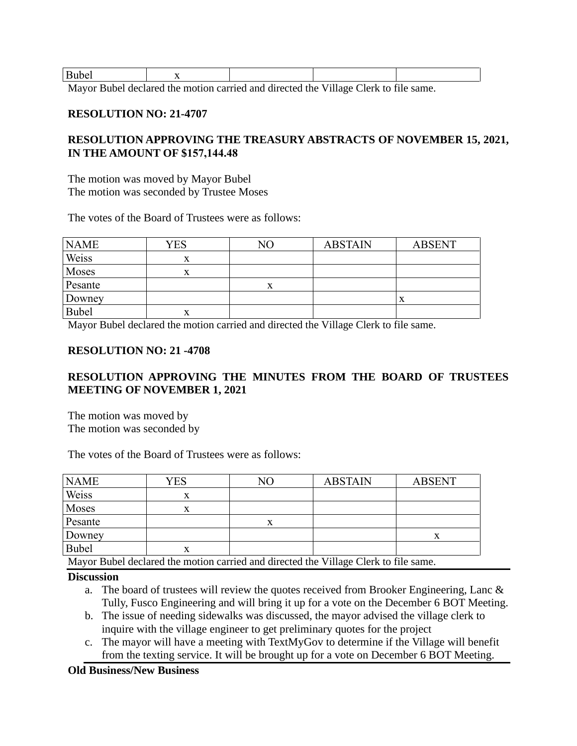| <b>Bubel</b><br>$ -$ |       | . . |     |   |                                                                                                                                                                                                                                                                                                             |        |     |  |
|----------------------|-------|-----|-----|---|-------------------------------------------------------------------------------------------------------------------------------------------------------------------------------------------------------------------------------------------------------------------------------------------------------------|--------|-----|--|
| - -                  | - - - | . . | . . | . | $\mathbf{r}$ , $\mathbf{r}$ , $\mathbf{r}$ , $\mathbf{r}$ , $\mathbf{r}$ , $\mathbf{r}$ , $\mathbf{r}$ , $\mathbf{r}$ , $\mathbf{r}$ , $\mathbf{r}$ , $\mathbf{r}$ , $\mathbf{r}$ , $\mathbf{r}$ , $\mathbf{r}$ , $\mathbf{r}$ , $\mathbf{r}$ , $\mathbf{r}$ , $\mathbf{r}$ , $\mathbf{r}$ , $\mathbf{r}$ , | $\sim$ | 0.7 |  |

Mayor Bubel declared the motion carried and directed the Village Clerk to file same.

#### **RESOLUTION NO: 21-4707**

## **RESOLUTION APPROVING THE TREASURY ABSTRACTS OF NOVEMBER 15, 2021, IN THE AMOUNT OF \$157,144.48**

The motion was moved by Mayor Bubel The motion was seconded by Trustee Moses

The votes of the Board of Trustees were as follows:

| <b>NAME</b>  | YES | NO | <b>ABSTAIN</b> | <b>ABSENT</b> |
|--------------|-----|----|----------------|---------------|
| Weiss        | x   |    |                |               |
| Moses        | x   |    |                |               |
| Pesante      |     |    |                |               |
| Downey       |     |    |                | $\Lambda$     |
| <b>Bubel</b> | x   |    |                |               |

Mayor Bubel declared the motion carried and directed the Village Clerk to file same.

#### **RESOLUTION NO: 21 -4708**

### **RESOLUTION APPROVING THE MINUTES FROM THE BOARD OF TRUSTEES MEETING OF NOVEMBER 1, 2021**

The motion was moved by The motion was seconded by

The votes of the Board of Trustees were as follows:

| <b>NAME</b>  | YES                                                                                 | NΟ | <b>ABSTAIN</b> | <b>ABSENT</b> |  |  |  |  |
|--------------|-------------------------------------------------------------------------------------|----|----------------|---------------|--|--|--|--|
| Weiss        | л                                                                                   |    |                |               |  |  |  |  |
| Moses        |                                                                                     |    |                |               |  |  |  |  |
| Pesante      |                                                                                     | х  |                |               |  |  |  |  |
| Downey       |                                                                                     |    |                |               |  |  |  |  |
| <b>Bubel</b> |                                                                                     |    |                |               |  |  |  |  |
|              | Navor Bubel declared the motion carried and directed the Village Clerk to file same |    |                |               |  |  |  |  |

Mayor Bubel declared the motion carried and directed the Village Clerk to file same.

#### **Discussion**

- a. The board of trustees will review the quotes received from Brooker Engineering, Lanc & Tully, Fusco Engineering and will bring it up for a vote on the December 6 BOT Meeting.
- b. The issue of needing sidewalks was discussed, the mayor advised the village clerk to inquire with the village engineer to get preliminary quotes for the project
- c. The mayor will have a meeting with TextMyGov to determine if the Village will benefit from the texting service. It will be brought up for a vote on December 6 BOT Meeting.

### **Old Business/New Business**